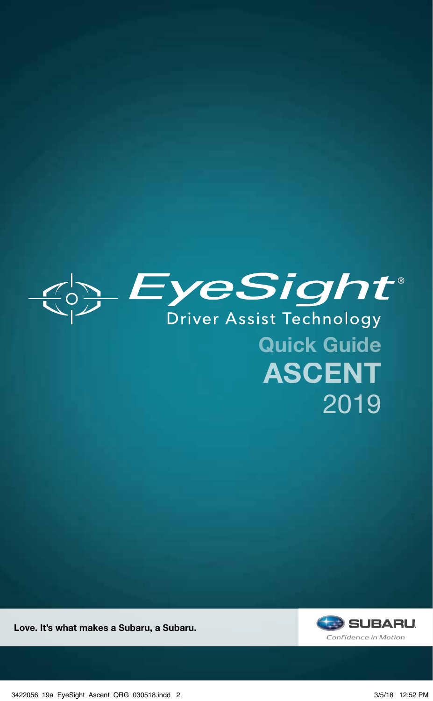

Quick Guide ASCENT 2019



Love. It's what makes a Subaru, a Subaru.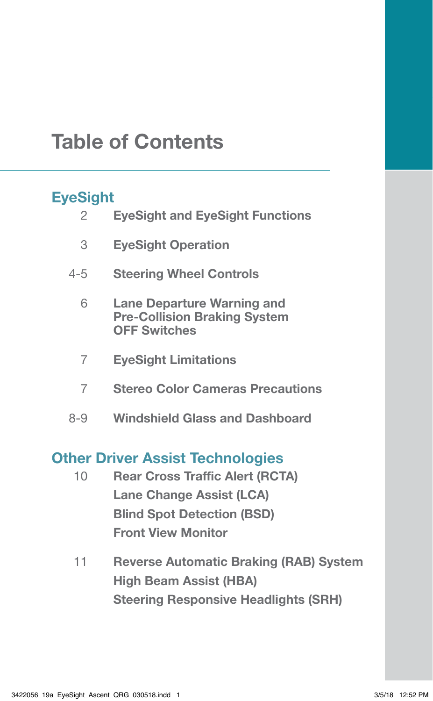## Table of Contents

#### **EyeSight**

| ------ |                                                                                                 |
|--------|-------------------------------------------------------------------------------------------------|
| 2      | <b>EyeSight and EyeSight Functions</b>                                                          |
| 3      | <b>EyeSight Operation</b>                                                                       |
| 4-5    | <b>Steering Wheel Controls</b>                                                                  |
| 6      | <b>Lane Departure Warning and</b><br><b>Pre-Collision Braking System</b><br><b>OFF Switches</b> |
| 7      | <b>EyeSight Limitations</b>                                                                     |
| 7      | <b>Stereo Color Cameras Precautions</b>                                                         |
| 8-9    | <b>Windshield Glass and Dashboard</b>                                                           |
|        |                                                                                                 |

#### Other Driver Assist Technologies

- 10 Rear Cross Traffic Alert (RCTA) Lane Change Assist (LCA) Blind Spot Detection (BSD) Front View Monitor
- 11 Reverse Automatic Braking (RAB) System High Beam Assist (HBA) Steering Responsive Headlights (SRH)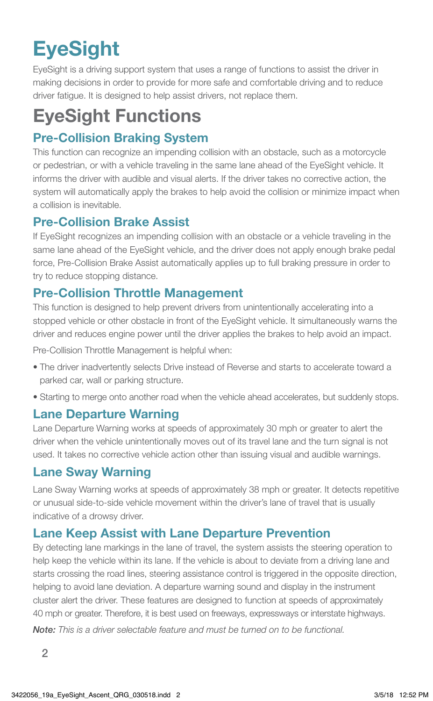# **EyeSight**

EyeSight is a driving support system that uses a range of functions to assist the driver in making decisions in order to provide for more safe and comfortable driving and to reduce driver fatigue. It is designed to help assist drivers, not replace them.

## EyeSight Functions

#### Pre-Collision Braking System

This function can recognize an impending collision with an obstacle, such as a motorcycle or pedestrian, or with a vehicle traveling in the same lane ahead of the EyeSight vehicle. It informs the driver with audible and visual alerts. If the driver takes no corrective action, the system will automatically apply the brakes to help avoid the collision or minimize impact when a collision is inevitable.

#### Pre-Collision Brake Assist

If EyeSight recognizes an impending collision with an obstacle or a vehicle traveling in the same lane ahead of the EyeSight vehicle, and the driver does not apply enough brake pedal force, Pre-Collision Brake Assist automatically applies up to full braking pressure in order to try to reduce stopping distance.

#### Pre-Collision Throttle Management

This function is designed to help prevent drivers from unintentionally accelerating into a stopped vehicle or other obstacle in front of the EyeSight vehicle. It simultaneously warns the driver and reduces engine power until the driver applies the brakes to help avoid an impact.

Pre-Collision Throttle Management is helpful when:

- The driver inadvertently selects Drive instead of Reverse and starts to accelerate toward a parked car, wall or parking structure.
- Starting to merge onto another road when the vehicle ahead accelerates, but suddenly stops.

#### Lane Departure Warning

Lane Departure Warning works at speeds of approximately 30 mph or greater to alert the driver when the vehicle unintentionally moves out of its travel lane and the turn signal is not used. It takes no corrective vehicle action other than issuing visual and audible warnings.

#### Lane Sway Warning

Lane Sway Warning works at speeds of approximately 38 mph or greater. It detects repetitive or unusual side-to-side vehicle movement within the driver's lane of travel that is usually indicative of a drowsy driver.

#### Lane Keep Assist with Lane Departure Prevention

By detecting lane markings in the lane of travel, the system assists the steering operation to help keep the vehicle within its lane. If the vehicle is about to deviate from a driving lane and starts crossing the road lines, steering assistance control is triggered in the opposite direction, helping to avoid lane deviation. A departure warning sound and display in the instrument cluster alert the driver. These features are designed to function at speeds of approximately 40 mph or greater. Therefore, it is best used on freeways, expressways or interstate highways.

*Note: This is a driver selectable feature and must be turned on to be functional.*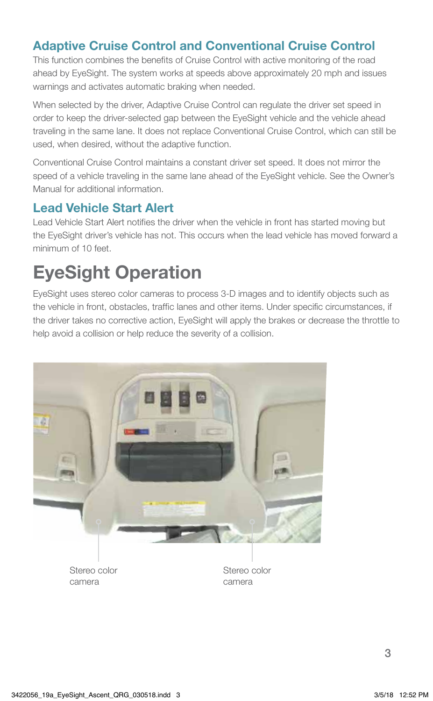#### Adaptive Cruise Control and Conventional Cruise Control

This function combines the benefits of Cruise Control with active monitoring of the road ahead by EyeSight. The system works at speeds above approximately 20 mph and issues warnings and activates automatic braking when needed.

When selected by the driver, Adaptive Cruise Control can regulate the driver set speed in order to keep the driver-selected gap between the EyeSight vehicle and the vehicle ahead traveling in the same lane. It does not replace Conventional Cruise Control, which can still be used, when desired, without the adaptive function.

Conventional Cruise Control maintains a constant driver set speed. It does not mirror the speed of a vehicle traveling in the same lane ahead of the EyeSight vehicle. See the Owner's Manual for additional information.

#### Lead Vehicle Start Alert

Lead Vehicle Start Alert notifies the driver when the vehicle in front has started moving but the EyeSight driver's vehicle has not. This occurs when the lead vehicle has moved forward a minimum of 10 feet.

## EyeSight Operation

EyeSight uses stereo color cameras to process 3-D images and to identify objects such as the vehicle in front, obstacles, traffic lanes and other items. Under specific circumstances, if the driver takes no corrective action, EyeSight will apply the brakes or decrease the throttle to help avoid a collision or help reduce the severity of a collision.



Stereo color camera

Stereo color camera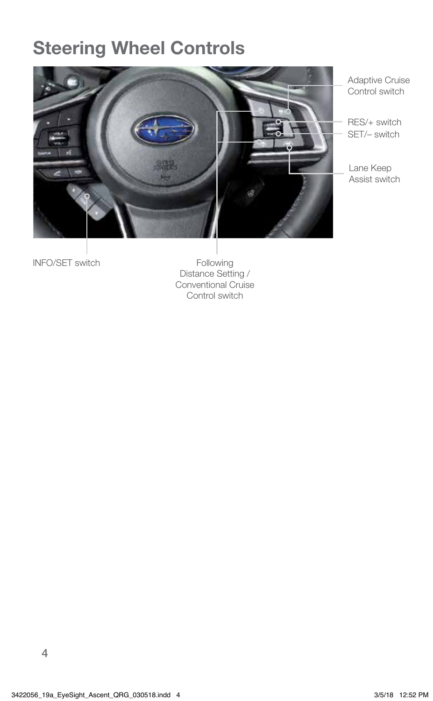### Steering Wheel Controls



Adaptive Cruise Control switch

RES/+ switch SET/– switch

Lane Keep Assist switch

INFO/SET switch

Following Distance Setting / Conventional Cruise Control switch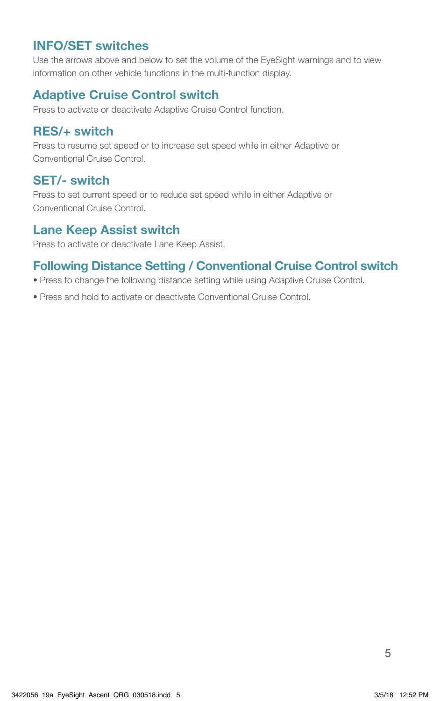#### INFO/SET switches

Use the arrows above and below to set the volume of the EyeSight warnings and to view information on other vehicle functions in the multi-function display.

#### Adaptive Cruise Control switch

Press to activate or deactivate Adaptive Cruise Control function.

#### RES/+ switch

Press to resume set speed or to increase set speed while in either Adaptive or Conventional Cruise Control.

#### SET/- switch

Press to set current speed or to reduce set speed while in either Adaptive or Conventional Cruise Control.

#### Lane Keep Assist switch

Press to activate or deactivate Lane Keep Assist.

#### Following Distance Setting / Conventional Cruise Control switch

- Press to change the following distance setting while using Adaptive Cruise Control.
- Press and hold to activate or deactivate Conventional Cruise Control.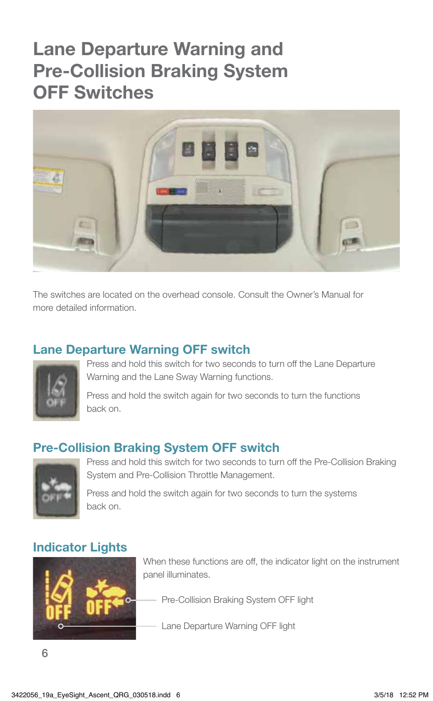### Lane Departure Warning and Pre-Collision Braking System OFF Switches



The switches are located on the overhead console. Consult the Owner's Manual for more detailed information.

#### Lane Departure Warning OFF switch



Press and hold this switch for two seconds to turn off the Lane Departure Warning and the Lane Sway Warning functions.

Press and hold the switch again for two seconds to turn the functions back on.

#### Pre-Collision Braking System OFF switch



Press and hold this switch for two seconds to turn off the Pre-Collision Braking System and Pre-Collision Throttle Management.

Press and hold the switch again for two seconds to turn the systems back on.

#### Indicator Lights



When these functions are off, the indicator light on the instrument panel illuminates.

Pre-Collision Braking System OFF light

Lane Departure Warning OFF light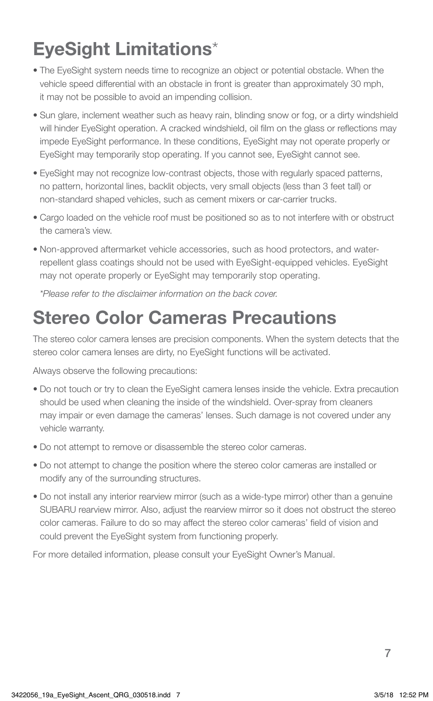## EyeSight Limitations\*

- The EyeSight system needs time to recognize an object or potential obstacle. When the vehicle speed differential with an obstacle in front is greater than approximately 30 mph, it may not be possible to avoid an impending collision.
- Sun glare, inclement weather such as heavy rain, blinding snow or fog, or a dirty windshield will hinder EyeSight operation. A cracked windshield, oil film on the glass or reflections may impede EyeSight performance. In these conditions, EyeSight may not operate properly or EyeSight may temporarily stop operating. If you cannot see, EyeSight cannot see.
- EyeSight may not recognize low-contrast objects, those with regularly spaced patterns, no pattern, horizontal lines, backlit objects, very small objects (less than 3 feet tall) or non-standard shaped vehicles, such as cement mixers or car-carrier trucks.
- Cargo loaded on the vehicle roof must be positioned so as to not interfere with or obstruct the camera's view.
- Non-approved aftermarket vehicle accessories, such as hood protectors, and waterrepellent glass coatings should not be used with EyeSight-equipped vehicles. EyeSight may not operate properly or EyeSight may temporarily stop operating.

*\*Please refer to the disclaimer information on the back cover.*

### Stereo Color Cameras Precautions

The stereo color camera lenses are precision components. When the system detects that the stereo color camera lenses are dirty, no EyeSight functions will be activated.

Always observe the following precautions:

- Do not touch or try to clean the EyeSight camera lenses inside the vehicle. Extra precaution should be used when cleaning the inside of the windshield. Over-spray from cleaners may impair or even damage the cameras' lenses. Such damage is not covered under any vehicle warranty.
- Do not attempt to remove or disassemble the stereo color cameras.
- Do not attempt to change the position where the stereo color cameras are installed or modify any of the surrounding structures.
- Do not install any interior rearview mirror (such as a wide-type mirror) other than a genuine SUBARU rearview mirror. Also, adjust the rearview mirror so it does not obstruct the stereo color cameras. Failure to do so may affect the stereo color cameras' field of vision and could prevent the EyeSight system from functioning properly.

For more detailed information, please consult your EyeSight Owner's Manual.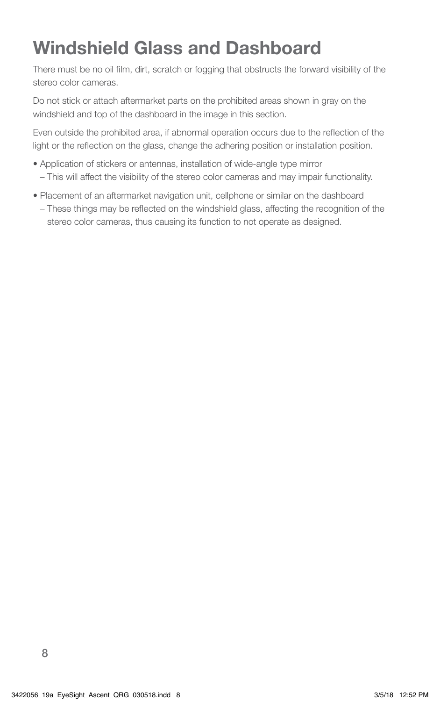## Windshield Glass and Dashboard

There must be no oil film, dirt, scratch or fogging that obstructs the forward visibility of the stereo color cameras.

Do not stick or attach aftermarket parts on the prohibited areas shown in gray on the windshield and top of the dashboard in the image in this section.

Even outside the prohibited area, if abnormal operation occurs due to the reflection of the light or the reflection on the glass, change the adhering position or installation position.

- Application of stickers or antennas, installation of wide‐angle type mirror
	- This will affect the visibility of the stereo color cameras and may impair functionality.
- Placement of an aftermarket navigation unit, cellphone or similar on the dashboard
	- These things may be reflected on the windshield glass, affecting the recognition of the stereo color cameras, thus causing its function to not operate as designed.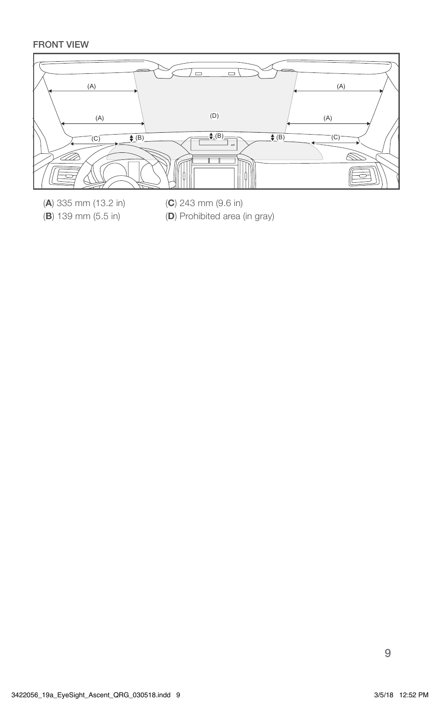#### FRONT VIEW



- (A) 335 mm (13.2 in) (B) 139 mm (5.5 in)
- (C) 243 mm (9.6 in)
- (D) Prohibited area (in gray)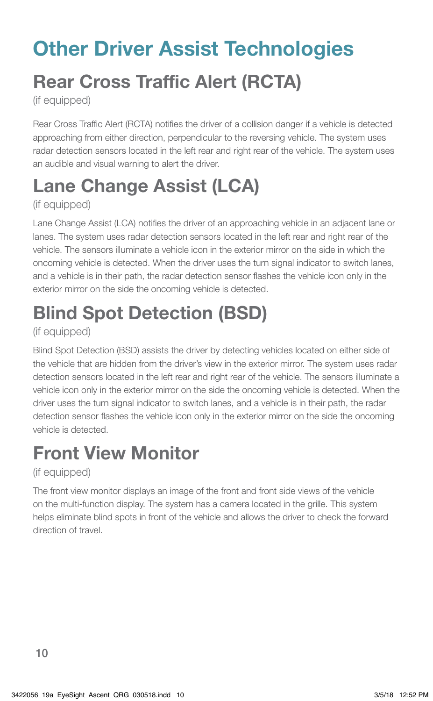# Other Driver Assist Technologies Rear Cross Traffic Alert (RCTA)

(if equipped)

Rear Cross Traffic Alert (RCTA) notifies the driver of a collision danger if a vehicle is detected approaching from either direction, perpendicular to the reversing vehicle. The system uses radar detection sensors located in the left rear and right rear of the vehicle. The system uses an audible and visual warning to alert the driver.

## Lane Change Assist (LCA)

#### (if equipped)

Lane Change Assist (LCA) notifies the driver of an approaching vehicle in an adjacent lane or lanes. The system uses radar detection sensors located in the left rear and right rear of the vehicle. The sensors illuminate a vehicle icon in the exterior mirror on the side in which the oncoming vehicle is detected. When the driver uses the turn signal indicator to switch lanes, and a vehicle is in their path, the radar detection sensor flashes the vehicle icon only in the exterior mirror on the side the oncoming vehicle is detected.

## Blind Spot Detection (BSD)

#### (if equipped)

Blind Spot Detection (BSD) assists the driver by detecting vehicles located on either side of the vehicle that are hidden from the driver's view in the exterior mirror. The system uses radar detection sensors located in the left rear and right rear of the vehicle. The sensors illuminate a vehicle icon only in the exterior mirror on the side the oncoming vehicle is detected. When the driver uses the turn signal indicator to switch lanes, and a vehicle is in their path, the radar detection sensor flashes the vehicle icon only in the exterior mirror on the side the oncoming vehicle is detected.

## Front View Monitor

#### (if equipped)

The front view monitor displays an image of the front and front side views of the vehicle on the multi-function display. The system has a camera located in the grille. This system helps eliminate blind spots in front of the vehicle and allows the driver to check the forward direction of travel.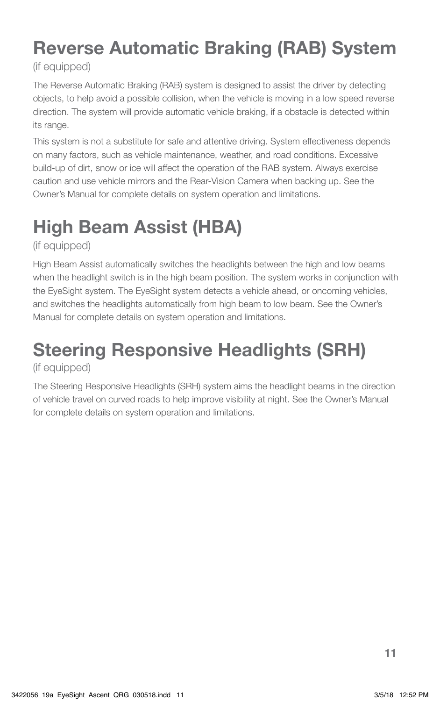## Reverse Automatic Braking (RAB) System

#### (if equipped)

The Reverse Automatic Braking (RAB) system is designed to assist the driver by detecting objects, to help avoid a possible collision, when the vehicle is moving in a low speed reverse direction. The system will provide automatic vehicle braking, if a obstacle is detected within its range.

This system is not a substitute for safe and attentive driving. System effectiveness depends on many factors, such as vehicle maintenance, weather, and road conditions. Excessive build-up of dirt, snow or ice will affect the operation of the RAB system. Always exercise caution and use vehicle mirrors and the Rear-Vision Camera when backing up. See the Owner's Manual for complete details on system operation and limitations.

## High Beam Assist (HBA)

(if equipped)

High Beam Assist automatically switches the headlights between the high and low beams when the headlight switch is in the high beam position. The system works in conjunction with the EyeSight system. The EyeSight system detects a vehicle ahead, or oncoming vehicles, and switches the headlights automatically from high beam to low beam. See the Owner's Manual for complete details on system operation and limitations.

## Steering Responsive Headlights (SRH)

#### (if equipped)

The Steering Responsive Headlights (SRH) system aims the headlight beams in the direction of vehicle travel on curved roads to help improve visibility at night. See the Owner's Manual for complete details on system operation and limitations.